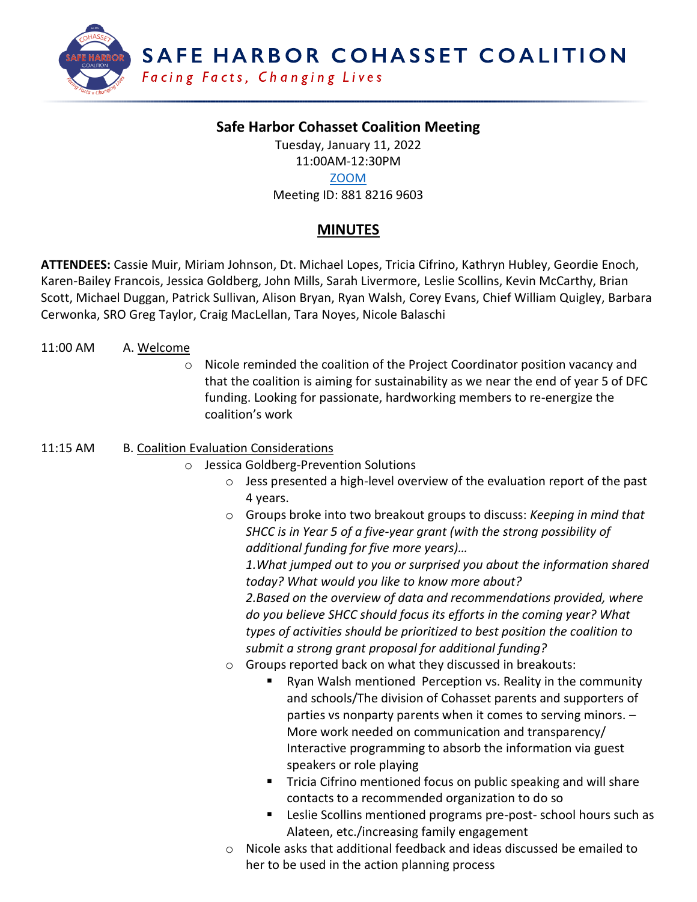

# **Safe Harbor Cohasset Coalition Meeting**

Tuesday, January 11, 2022

#### 11:00AM-12:30PM [ZOOM](https://us02web.zoom.us/j/88182169603)

Meeting ID: 881 8216 9603

# **MINUTES**

**ATTENDEES:** Cassie Muir, Miriam Johnson, Dt. Michael Lopes, Tricia Cifrino, Kathryn Hubley, Geordie Enoch, Karen-Bailey Francois, Jessica Goldberg, John Mills, Sarah Livermore, Leslie Scollins, Kevin McCarthy, Brian Scott, Michael Duggan, Patrick Sullivan, Alison Bryan, Ryan Walsh, Corey Evans, Chief William Quigley, Barbara Cerwonka, SRO Greg Taylor, Craig MacLellan, Tara Noyes, Nicole Balaschi

#### 11:00 AM A. Welcome

o Nicole reminded the coalition of the Project Coordinator position vacancy and that the coalition is aiming for sustainability as we near the end of year 5 of DFC funding. Looking for passionate, hardworking members to re-energize the coalition's work

#### 11:15 AM B. Coalition Evaluation Considerations

- o Jessica Goldberg-Prevention Solutions
	- o Jess presented a high-level overview of the evaluation report of the past 4 years.
	- o Groups broke into two breakout groups to discuss: *Keeping in mind that SHCC is in Year 5 of a five-year grant (with the strong possibility of additional funding for five more years)…*

*1.What jumped out to you or surprised you about the information shared today? What would you like to know more about?*

*2.Based on the overview of data and recommendations provided, where do you believe SHCC should focus its efforts in the coming year? What types of activities should be prioritized to best position the coalition to submit a strong grant proposal for additional funding?*

- o Groups reported back on what they discussed in breakouts:
	- Ryan Walsh mentioned Perception vs. Reality in the community and schools/The division of Cohasset parents and supporters of parties vs nonparty parents when it comes to serving minors. – More work needed on communication and transparency/ Interactive programming to absorb the information via guest speakers or role playing
	- Tricia Cifrino mentioned focus on public speaking and will share contacts to a recommended organization to do so
	- Leslie Scollins mentioned programs pre-post- school hours such as Alateen, etc./increasing family engagement
- $\circ$  Nicole asks that additional feedback and ideas discussed be emailed to her to be used in the action planning process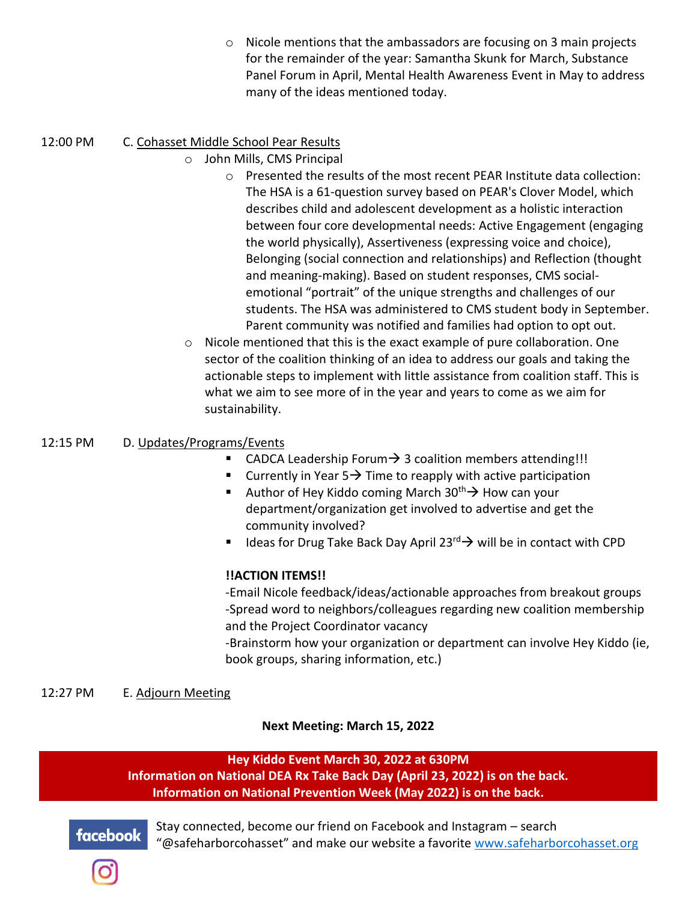o Nicole mentions that the ambassadors are focusing on 3 main projects for the remainder of the year: Samantha Skunk for March, Substance Panel Forum in April, Mental Health Awareness Event in May to address many of the ideas mentioned today.

### 12:00 PM C. Cohasset Middle School Pear Results

- o John Mills, CMS Principal
	- o Presented the results of the most recent PEAR Institute data collection: The HSA is a 61-question survey based on PEAR's Clover Model, which describes child and adolescent development as a holistic interaction between four core developmental needs: Active Engagement (engaging the world physically), Assertiveness (expressing voice and choice), Belonging (social connection and relationships) and Reflection (thought and meaning-making). Based on student responses, CMS socialemotional "portrait" of the unique strengths and challenges of our students. The HSA was administered to CMS student body in September. Parent community was notified and families had option to opt out.
- o Nicole mentioned that this is the exact example of pure collaboration. One sector of the coalition thinking of an idea to address our goals and taking the actionable steps to implement with little assistance from coalition staff. This is what we aim to see more of in the year and years to come as we aim for sustainability.

#### 12:15 PM D. Updates/Programs/Events

- CADCA Leadership Forum  $\rightarrow$  3 coalition members attending!!!
- Currently in Year  $5\rightarrow$  Time to reapply with active participation
- Author of Hey Kiddo coming March 30<sup>th</sup> → How can your department/organization get involved to advertise and get the community involved?
- Ideas for Drug Take Back Day April 23 $^{rd}$   $\rightarrow$  will be in contact with CPD

#### **!!ACTION ITEMS!!**

-Email Nicole feedback/ideas/actionable approaches from breakout groups -Spread word to neighbors/colleagues regarding new coalition membership and the Project Coordinator vacancy

-Brainstorm how your organization or department can involve Hey Kiddo (ie, book groups, sharing information, etc.)

#### 12:27 PM E. Adjourn Meeting

**Next Meeting: March 15, 2022**

#### **Hey Kiddo Event March 30, 2022 at 630PM**

**Information on National DEA Rx Take Back Day (April 23, 2022) is on the back. Information on National Prevention Week (May 2022) is on the back.**



Stay connected, become our friend on Facebook and Instagram – search "@safeharborcohasset" and make our website a favorite [www.safeharborcohasset.org](http://www.safeharborcohasset.org/)